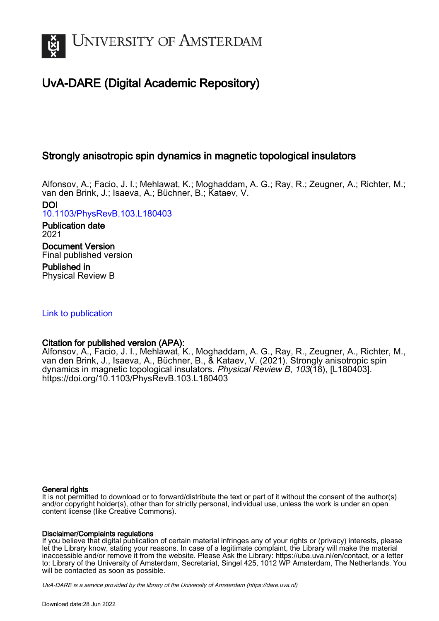

# UvA-DARE (Digital Academic Repository)

# Strongly anisotropic spin dynamics in magnetic topological insulators

Alfonsov, A.; Facio, J. I.; Mehlawat, K.; Moghaddam, A. G.; Ray, R.; Zeugner, A.; Richter, M.; van den Brink, J.; Isaeva, A.; Büchner, B.; Kataev, V.

DOI [10.1103/PhysRevB.103.L180403](https://doi.org/10.1103/PhysRevB.103.L180403)

Publication date 2021 Document Version

Final published version Published in

Physical Review B

## [Link to publication](https://dare.uva.nl/personal/pure/en/publications/strongly-anisotropic-spin-dynamics-in-magnetic-topological-insulators(1bbda485-2eed-40e5-bf69-7a0e6f755551).html)

## Citation for published version (APA):

Alfonsov, A., Facio, J. I., Mehlawat, K., Moghaddam, A. G., Ray, R., Zeugner, A., Richter, M., van den Brink, J., Isaeva, A., Büchner, B., & Kataev, V. (2021). Strongly anisotropic spin dynamics in magnetic topological insulators. Physical Review B, 103(18), [L180403]. <https://doi.org/10.1103/PhysRevB.103.L180403>

## General rights

It is not permitted to download or to forward/distribute the text or part of it without the consent of the author(s) and/or copyright holder(s), other than for strictly personal, individual use, unless the work is under an open content license (like Creative Commons).

## Disclaimer/Complaints regulations

If you believe that digital publication of certain material infringes any of your rights or (privacy) interests, please let the Library know, stating your reasons. In case of a legitimate complaint, the Library will make the material inaccessible and/or remove it from the website. Please Ask the Library: https://uba.uva.nl/en/contact, or a letter to: Library of the University of Amsterdam, Secretariat, Singel 425, 1012 WP Amsterdam, The Netherlands. You will be contacted as soon as possible.

UvA-DARE is a service provided by the library of the University of Amsterdam (http*s*://dare.uva.nl)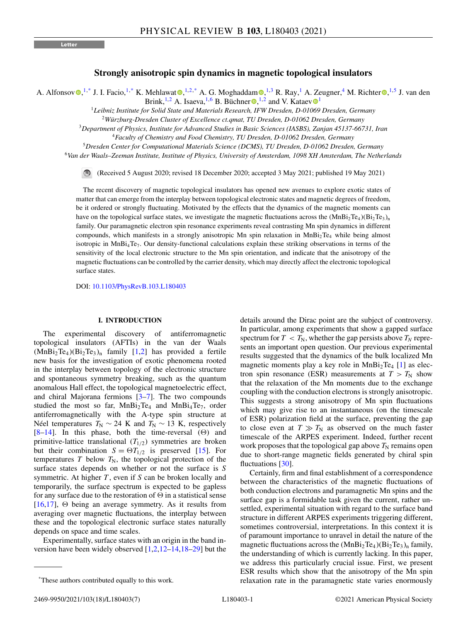### **Strongly anisotropic spin dynamics in magnetic topological insulators**

A. Alfonso[v](https://orcid.org/0000-0003-2408-8628)  $\mathbb{D}^{1,*}$  $\mathbb{D}^{1,*}$  $\mathbb{D}^{1,*}$  J. I. Facio,  $^{1,*}$  K. Mehlawat  $\mathbb{D}^{1,2,*}$  $\mathbb{D}^{1,2,*}$  $\mathbb{D}^{1,2,*}$  A. G. Moghaddam  $\mathbb{D}^{1,3}$  R. Ray,  $^1$  A. Zeugne[r](https://orcid.org/0000-0002-9999-8290),  $^4$  M. Richter  $\mathbb{D}^{1,5}$  J. van den B[r](https://orcid.org/0000-0002-3886-2680)ink, <sup>[1](https://orcid.org/0000-0003-2147-2616),2</sup> A. Isaeva, <sup>1,6</sup> B. Büchner  $\bullet$ , <sup>1,2</sup> and V. Kataev  $\bullet$ <sup>1</sup>

<sup>1</sup>*Leibniz Institute for Solid State and Materials Research, IFW Dresden, D-01069 Dresden, Germany*

<sup>2</sup>*Würzburg-Dresden Cluster of Excellence ct.qmat, TU Dresden, D-01062 Dresden, Germany*

<sup>3</sup>*Department of Physics, Institute for Advanced Studies in Basic Sciences (IASBS), Zanjan 45137-66731, Iran*

<sup>4</sup>*Faculty of Chemistry and Food Chemistry, TU Dresden, D-01062 Dresden, Germany*

<sup>5</sup>*Dresden Center for Computational Materials Science (DCMS), TU Dresden, D-01062 Dresden, Germany*

<sup>6</sup>*Van der Waals–Zeeman Institute, Institute of Physics, University of Amsterdam, 1098 XH Amsterdam, The Netherlands*

 $\bigcirc$ (Received 5 August 2020; revised 18 December 2020; accepted 3 May 2021; published 19 May 2021)

The recent discovery of magnetic topological insulators has opened new avenues to explore exotic states of matter that can emerge from the interplay between topological electronic states and magnetic degrees of freedom, be it ordered or strongly fluctuating. Motivated by the effects that the dynamics of the magnetic moments can have on the topological surface states, we investigate the magnetic fluctuations across the  $(MnBi<sub>2</sub>Te<sub>4</sub>)(Bi<sub>2</sub>Te<sub>3</sub>)<sub>n</sub>$ family. Our paramagnetic electron spin resonance experiments reveal contrasting Mn spin dynamics in different compounds, which manifests in a strongly anisotropic Mn spin relaxation in MnBi<sub>2</sub>Te<sub>4</sub> while being almost isotropic in MnBi<sub>4</sub>Te<sub>7</sub>. Our density-functional calculations explain these striking observations in terms of the sensitivity of the local electronic structure to the Mn spin orientation, and indicate that the anisotropy of the magnetic fluctuations can be controlled by the carrier density, which may directly affect the electronic topological surface states.

DOI: [10.1103/PhysRevB.103.L180403](https://doi.org/10.1103/PhysRevB.103.L180403)

#### **I. INTRODUCTION**

The experimental discovery of antiferromagnetic topological insulators (AFTIs) in the van der Waals  $(MnBi<sub>2</sub>Te<sub>4</sub>)(Bi<sub>2</sub>Te<sub>3</sub>)<sub>n</sub>$  family [\[1,2\]](#page-5-0) has provided a fertile new basis for the investigation of exotic phenomena rooted in the interplay between topology of the electronic structure and spontaneous symmetry breaking, such as the quantum anomalous Hall effect, the topological magnetoelectric effect, and chiral Majorana fermions  $[3-7]$ . The two compounds studied the most so far, MnBi<sub>2</sub>Te<sub>4</sub> and MnBi<sub>4</sub>Te<sub>7</sub>, order antiferromagnetically with the A-type spin structure at Néel temperatures  $T_N$  ∼ 24 K and  $T_N$  ∼ 13 K, respectively  $[8-14]$ . In this phase, both the time-reversal  $(\Theta)$  and primitive-lattice translational  $(T_{1/2})$  symmetries are broken but their combination  $S = \Theta T_{1/2}$  is preserved [\[15\]](#page-6-0). For temperatures  $T$  below  $T_N$ , the topological protection of the surface states depends on whether or not the surface is *S* symmetric. At higher *T* , even if *S* can be broken locally and temporarily, the surface spectrum is expected to be gapless for any surface due to the restoration of  $\Theta$  in a statistical sense [\[16,17\]](#page-6-0),  $\Theta$  being an average symmetry. As it results from averaging over magnetic fluctuations, the interplay between these and the topological electronic surface states naturally depends on space and time scales.

Experimentally, surface states with an origin in the band inversion have been widely observed [\[1,2](#page-5-0)[,12–14,18–29\]](#page-6-0) but the details around the Dirac point are the subject of controversy. In particular, among experiments that show a gapped surface spectrum for  $T < T_N$ , whether the gap persists above  $T_N$  represents an important open question. Our previous experimental results suggested that the dynamics of the bulk localized Mn magnetic moments play a key role in  $MnBi<sub>2</sub>Te<sub>4</sub>$  [\[1\]](#page-5-0) as electron spin resonance (ESR) measurements at  $T > T<sub>N</sub>$  show that the relaxation of the Mn moments due to the exchange coupling with the conduction electrons is strongly anisotropic. This suggests a strong anisotropy of Mn spin fluctuations which may give rise to an instantaneous (on the timescale of ESR) polarization field at the surface, preventing the gap to close even at  $T \gg T_N$  as observed on the much faster timescale of the ARPES experiment. Indeed, further recent work proposes that the topological gap above  $T_N$  remains open due to short-range magnetic fields generated by chiral spin fluctuations [\[30\]](#page-6-0).

Certainly, firm and final establishment of a correspondence between the characteristics of the magnetic fluctuations of both conduction electrons and paramagnetic Mn spins and the surface gap is a formidable task given the current, rather unsettled, experimental situation with regard to the surface band structure in different ARPES experiments triggering different, sometimes controversial, interpretations. In this context it is of paramount importance to unravel in detail the nature of the magnetic fluctuations across the  $(MnBi<sub>2</sub>Te<sub>4</sub>)(Bi<sub>2</sub>Te<sub>3</sub>)<sub>n</sub>$  family, the understanding of which is currently lacking. In this paper, we address this particularly crucial issue. First, we present ESR results which show that the anisotropy of the Mn spin relaxation rate in the paramagnetic state varies enormously

<sup>\*</sup>These authors contributed equally to this work.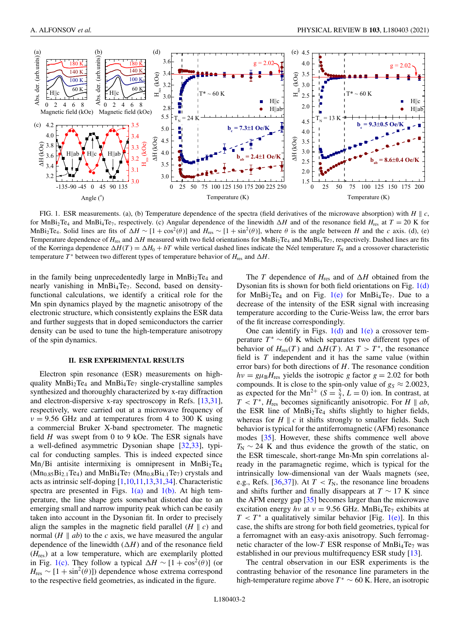<span id="page-2-0"></span>

FIG. 1. ESR measurements. (a), (b) Temperature dependence of the spectra (field derivatives of the microwave absorption) with  $H \parallel c$ , for MnBi<sub>2</sub>Te<sub>4</sub> and MnBi<sub>4</sub>Te<sub>7</sub>, respectively. (c) Angular dependence of the linewidth  $\Delta H$  and of the resonance field  $H_{res}$  at  $T = 20$  K for MnBi<sub>2</sub>Te<sub>4</sub>. Solid lines are fits of  $\Delta H \sim [1 + \cos^2(\theta)]$  and  $H_{res} \sim [1 + \sin^2(\theta)]$ , where  $\theta$  is the angle between *H* and the *c* axis. (d), (e) Temperature dependence of  $H_{res}$  and  $\Delta H$  measured with two field orientations for  $MnBi<sub>2</sub>Te<sub>4</sub>$  and  $MnBi<sub>4</sub>Te<sub>7</sub>$ , respectively. Dashed lines are fits of the Korringa dependence  $\Delta H(T) = \Delta H_0 + bT$  while vertical dashed lines indicate the Néel temperature  $T_N$  and a crossover characteristic temperature  $T^*$  between two different types of temperature behavior of  $H_{res}$  and  $\Delta H$ .

in the family being unprecedentedly large in  $MnBi<sub>2</sub>Te<sub>4</sub>$  and nearly vanishing in  $MnBi_4Te_7$ . Second, based on densityfunctional calculations, we identify a critical role for the Mn spin dynamics played by the magnetic anisotropy of the electronic structure, which consistently explains the ESR data and further suggests that in doped semiconductors the carrier density can be used to tune the high-temperature anisotropy of the spin dynamics.

#### **II. ESR EXPERIMENTAL RESULTS**

Electron spin resonance (ESR) measurements on highquality  $MnBi<sub>2</sub>Te<sub>4</sub>$  and  $MnBi<sub>4</sub>Te<sub>7</sub>$  single-crystalline samples synthesized and thoroughly characterized by x-ray diffraction and electron-dispersive x-ray spectroscopy in Refs. [\[13,31\]](#page-6-0), respectively, were carried out at a microwave frequency of  $v = 9.56$  GHz and at temperatures from 4 to 300 K using a commercial Bruker X-band spectrometer. The magnetic field *H* was swept from 0 to 9 kOe. The ESR signals have a well-defined asymmetric Dysonian shape [\[32,33\]](#page-7-0), typical for conducting samples. This is indeed expected since Mn/Bi antisite intermixing is omnipresent in  $MnBi<sub>2</sub>Te<sub>4</sub>$  $(Mn_{0.85}Bi_{2.1}Te_4)$  and  $MnBi_4Te_7$   $(Mn_{0.8}Bi_{4.1}Te_7)$  crystals and acts as intrinsic self-doping [\[1](#page-5-0)[,10,11,13,31,](#page-6-0)[34\]](#page-7-0). Characteristic spectra are presented in Figs.  $1(a)$  and  $1(b)$ . At high temperature, the line shape gets somewhat distorted due to an emerging small and narrow impurity peak which can be easily taken into account in the Dysonian fit. In order to precisely align the samples in the magnetic field parallel  $(H \parallel c)$  and normal  $(H \parallel ab)$  to the *c* axis, we have measured the angular dependence of the linewidth  $(\Delta H)$  and of the resonance field (*H*res) at a low temperature, which are exemplarily plotted in Fig. 1(c). They follow a typical  $\Delta H \sim [1 + \cos^2(\theta)]$  (or  $H_{\text{res}} \sim [1 + \sin^2(\theta)]$  dependence whose extrema correspond to the respective field geometries, as indicated in the figure.

The *T* dependence of  $H_{res}$  and of  $\Delta H$  obtained from the Dysonian fits is shown for both field orientations on Fig. 1(d) for  $MnBi<sub>2</sub>Te<sub>4</sub>$  and on Fig. 1(e) for  $MnBi<sub>4</sub>Te<sub>7</sub>$ . Due to a decrease of the intensity of the ESR signal with increasing temperature according to the Curie-Weiss law, the error bars of the fit increase correspondingly.

One can identify in Figs.  $1(d)$  and  $1(e)$  a crossover temperature  $T^* \sim 60$  K which separates two different types of behavior of  $H_{res}(T)$  and  $\Delta H(T)$ . At  $T > T^*$ , the resonance field is *T* independent and it has the same value (within error bars) for both directions of *H*. The resonance condition  $hv = g\mu_B H_{\text{res}}$  yields the isotropic *g* factor  $g = 2.02$  for both compounds. It is close to the spin-only value of  $g_S \approx 2.0023$ , as expected for the Mn<sup>2+</sup> ( $S = \frac{5}{2}$ ,  $L = 0$ ) ion. In contrast, at  $T < T^*$ ,  $H_{res}$  becomes significantly anisotropic. For *H*  $\parallel$  *ab*, the ESR line of  $MnBi<sub>2</sub>Te<sub>4</sub>$  shifts slightly to higher fields, whereas for  $H \parallel c$  it shifts strongly to smaller fields. Such behavior is typical for the antiferromagnetic (AFM) resonance modes [\[35\]](#page-7-0). However, these shifts commence well above  $T_N \sim 24$  K and thus evidence the growth of the static, on the ESR timescale, short-range Mn-Mn spin correlations already in the paramagnetic regime, which is typical for the intrinsically low-dimensional van der Waals magnets (see, e.g., Refs. [\[36,37\]](#page-7-0)). At  $T < T_N$ , the resonance line broadens and shifts further and finally disappears at  $T \sim 17$  K since the AFM energy gap [\[35\]](#page-7-0) becomes larger than the microwave excitation energy  $hv$  at  $v = 9.56$  GHz. MnBi<sub>4</sub>Te<sub>7</sub> exhibits at  $T < T^*$  a qualitatively similar behavior [Fig. 1(e)]. In this case, the shifts are strong for both field geometries, typical for a ferromagnet with an easy-axis anisotropy. Such ferromagnetic character of the low- $T$  ESR response of MnBi<sub>4</sub>Te<sub>7</sub> was established in our previous multifrequency ESR study [\[13\]](#page-6-0).

The central observation in our ESR experiments is the contrasting behavior of the resonance line parameters in the high-temperature regime above  $T^* \sim 60$  K. Here, an isotropic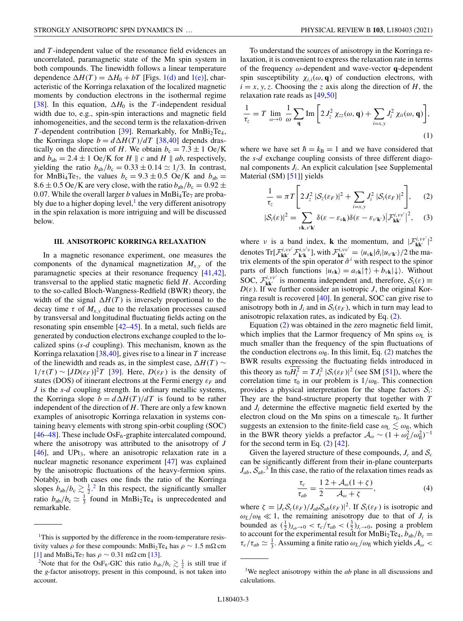<span id="page-3-0"></span>and *T* -independent value of the resonance field evidences an uncorrelated, paramagnetic state of the Mn spin system in both compounds. The linewidth follows a linear temperature dependence  $\Delta H(T) = \Delta H_0 + bT$  [Figs. [1\(d\)](#page-2-0) and [1\(e\)\]](#page-2-0), characteristic of the Korringa relaxation of the localized magnetic moments by conduction electrons in the isothermal regime [\[38\]](#page-7-0). In this equation,  $\Delta H_0$  is the *T*-independent residual width due to, e.g., spin-spin interactions and magnetic field inhomogeneities, and the second term is the relaxation-driven *T*-dependent contribution [\[39\]](#page-7-0). Remarkably, for  $MnBi<sub>2</sub>Te<sub>4</sub>$ , the Korringa slope  $b = d\Delta H(T)/dT$  [\[38,40\]](#page-7-0) depends drastically on the direction of *H*. We obtain  $b_c = 7.3 \pm 1$  Oe/K and  $b_{ab} = 2.4 \pm 1$  Oe/K for *H*  $\parallel$  *c* and *H*  $\parallel$  *ab*, respectively, yielding the ratio  $b_{ab}/b_c = 0.33 \pm 0.14 \simeq 1/3$ . In contrast, for MnBi<sub>4</sub>Te<sub>7</sub>, the values  $b_c = 9.3 \pm 0.5$  Oe/K and  $b_{ab} =$  $8.6 \pm 0.5$  Oe/K are very close, with the ratio  $b_{ab}/b_c = 0.92 \pm 0.05$ 0.07. While the overall larger *b* values in  $MnBi_4Te_7$  are probably due to a higher doping level, $\frac{1}{1}$  the very different anisotropy in the spin relaxation is more intriguing and will be discussed below.

#### **III. ANISOTROPIC KORRINGA RELAXATION**

In a magnetic resonance experiment, one measures the components of the dynamical magnetization  $M_{x,y}$  of the paramagnetic species at their resonance frequency [\[41,42\]](#page-7-0), transversal to the applied static magnetic field *H*. According to the so-called Bloch-Wangness-Redfield (BWR) theory, the width of the signal  $\Delta H(T)$  is inversely proportional to the decay time  $\tau$  of  $M_{x,y}$  due to the relaxation processes caused by transversal and longitudinal fluctuating fields acting on the resonating spin ensemble [\[42–45\]](#page-7-0). In a metal, such fields are generated by conduction electrons exchange coupled to the localized spins (*s*-*d* coupling). This mechanism, known as the Korringa relaxation [\[38,40\]](#page-7-0), gives rise to a linear in *T* increase of the linewidth and reads as, in the simplest case,  $\Delta H(T)$  ~  $1/\tau(T) \sim [JD(\varepsilon_F)]^2 T$  [\[39\]](#page-7-0). Here,  $D(\varepsilon_F)$  is the density of states (DOS) of itinerant electrons at the Fermi energy  $\varepsilon_F$  and *J* is the *s*-*d* coupling strength. In ordinary metallic systems, the Korringa slope  $b = d \Delta H(T)/dT$  is found to be rather independent of the direction of *H*. There are only a few known examples of anisotropic Korringa relaxation in systems containing heavy elements with strong spin-orbit coupling (SOC) [\[46–48\]](#page-7-0). These include Os $F_6$ -graphite intercalated compound, where the anisotropy was attributed to the anisotropy of *J*  $[46]$ , and UPt<sub>3</sub>, where an anisotropic relaxation rate in a nuclear magnetic resonance experiment [\[47\]](#page-7-0) was explained by the anisotropic fluctuations of the heavy-fermion spins. Notably, in both cases one finds the ratio of the Korringa slopes  $b_{ab}/b_c \gtrsim \frac{1}{2}$ .<sup>2</sup> In this respect, the significantly smaller ratio  $b_{ab}/b_c \simeq \frac{1}{3}$  found in MnBi<sub>2</sub>Te<sub>4</sub> is unprecedented and remarkable.

To understand the sources of anisotropy in the Korringa relaxation, it is convenient to express the relaxation rate in terms of the frequency ω-dependent and wave-vector **q**-dependent spin susceptibility  $\chi_{i,i}(\omega, \mathbf{q})$  of conduction electrons, with  $i = x, y, z$ . Choosing the *z* axis along the direction of *H*, the relaxation rate reads as [\[49,50\]](#page-7-0)

$$
\frac{1}{\tau_z} = T \lim_{\omega \to 0} \frac{1}{\omega} \sum_{\mathbf{q}} \text{Im} \left[ 2 J_z^2 \chi_{zz}(\omega, \mathbf{q}) + \sum_{i=x,y} J_i^2 \chi_{ii}(\omega, \mathbf{q}) \right],
$$
\n(1)

where we have set  $\hbar = k_B = 1$  and we have considered that the *s*-*d* exchange coupling consists of three different diagonal components *Ji*. An explicit calculation [see Supplemental Material (SM) [\[51\]](#page-7-0)] yields

$$
\frac{1}{\tau_z} = \pi T \left[ 2 J_z^2 \left| S_z(\varepsilon_F) \right|^2 + \sum_{i=x,y} J_i^2 \left| S_i(\varepsilon_F) \right|^2 \right], \quad (2)
$$

$$
|\mathcal{S}_{i}(\varepsilon)|^{2} = \sum_{\nu \mathbf{k}, \nu' \mathbf{k'}} \delta(\varepsilon - \varepsilon_{\nu \mathbf{k}}) \delta(\varepsilon - \varepsilon_{\nu' \mathbf{k'}}) |\mathcal{F}_{\mathbf{k}\mathbf{k'}}^{i, \nu \nu'}|^{2}, \quad (3)
$$

where v is a band index, **k** the momentum, and  $|\mathcal{F}_{kk'}^{i,vv'}|^2$ denotes  $\text{Tr}[\mathcal{F}^{i,vv'}_{\mathbf{k}\mathbf{k}'}\mathcal{F}^{i,v'v}_{\mathbf{k}'\mathbf{k}}]$ , with  $\mathcal{F}^{i,vv'}_{\mathbf{k}\mathbf{k}'} = \langle u_{v\mathbf{k}}|\hat{\sigma}_i|u_{v'\mathbf{k}'}\rangle/2$  the matrix elements of the spin operator  $\hat{\sigma}^i$  with respect to the spinor parts of Bloch functions  $|u_{\nu k}\rangle = a_{\nu k}|\uparrow\rangle + b_{\nu k}|\downarrow\rangle$ . Without SOC,  $\mathcal{F}_{kk'}^{i,vv'}$  is momenta independent and, therefore,  $\mathcal{S}_i(\varepsilon) \equiv$  $D(\varepsilon)$ . If we further consider an isotropic *J*, the original Korringa result is recovered [\[40\]](#page-7-0). In general, SOC can give rise to anisotropy both in  $J_i$  and in  $S_i(\varepsilon_F)$ , which in turn may lead to anisotropic relaxation rates, as indicated by Eq. (2).

Equation (2) was obtained in the zero magnetic field limit, which implies that the Larmor frequency of Mn spins  $\omega_{\text{L}}$  is much smaller than the frequency of the spin fluctuations of the conduction electrons  $\omega_{\text{fl}}$ . In this limit, Eq. (2) matches the BWR results expressing the fluctuating fields introduced in this theory as  $\tau_0 H_i^2 = T J_i^2 |\mathcal{S}_i(\varepsilon_F)|^2$  (see SM [\[51\]](#page-7-0)), where the correlation time  $\tau_0$  in our problem is  $1/\omega_{\text{fl}}$ . This connection provides a physical interpretation for the shape factors  $S_i$ : They are the band-structure property that together with *T* and *Ji* determine the effective magnetic field exerted by the electron cloud on the Mn spins on a timescale  $\tau_0$ . It further suggests an extension to the finite-field case  $\omega_{\rm L} \lesssim \omega_{\rm fl}$ , which in the BWR theory yields a prefactor  $A_{\omega} \sim (1 + \omega_L^2/\omega_H^2)^{-1}$ for the second term in Eq.  $(2)$  [\[42\]](#page-7-0).

Given the layered structure of these compounds,  $J_c$  and  $S_c$ can be significantly different from their in-plane counterparts  $J_{ab}$ ,  $S_{ab}$ <sup>3</sup>. In this case, the ratio of the relaxation times reads as

$$
\frac{\tau_c}{\tau_{ab}} = \frac{1}{2} \frac{2 + \mathcal{A}_{\omega}(1 + \zeta)}{\mathcal{A}_{\omega} + \zeta},\tag{4}
$$

where  $\zeta = |J_cS_c(\varepsilon_F)/J_{ab}S_{ab}(\varepsilon_F)|^2$ . If  $S_i(\varepsilon_F)$  is isotropic and  $\omega_L/\omega_{\rm fl} \ll 1$ , the remaining anisotropy due to that of  $J_i$  is bounded as  $(\frac{1}{2})_{J_{ab}\to 0} < \tau_c/\tau_{ab} < (\frac{3}{2})_{J_c\to 0}$ , posing a problem to account for the experimental result for  $MnBi_2Te_4$ ,  $b_{ab}/b_c =$  $\tau_c/\tau_{ab} \simeq \frac{1}{3}$ . Assuming a finite ratio  $\omega_L/\omega_{\text{fl}}$  which yields  $\mathcal{A}_{\omega}$  <

<sup>&</sup>lt;sup>1</sup>This is supported by the difference in the room-temperature resistivity values  $\rho$  for these compounds: MnBi<sub>2</sub>Te<sub>4</sub> has  $\rho \sim 1.5 \text{ m}\Omega \text{ cm}$  [1] and MnBi<sub>4</sub>Te<sub>7</sub> has  $\rho \sim 0.31 \text{ m}\Omega \text{ cm}$  [13].

[<sup>\[1\]</sup>](#page-5-0) and MnBi<sub>4</sub>Te<sub>7</sub> has  $\rho \sim 0.31 \text{ m}\Omega \text{ cm}$  [\[13\]](#page-6-0).<br><sup>2</sup>Note that for the OsF<sub>6</sub>-GIC this ratio  $b_{ab}/b_c \gtrsim \frac{1}{2}$  is still true if the *g*-factor anisotropy, present in this compound, is not taken into account.

<sup>3</sup>We neglect anisotropy within the *ab* plane in all discussions and calculations.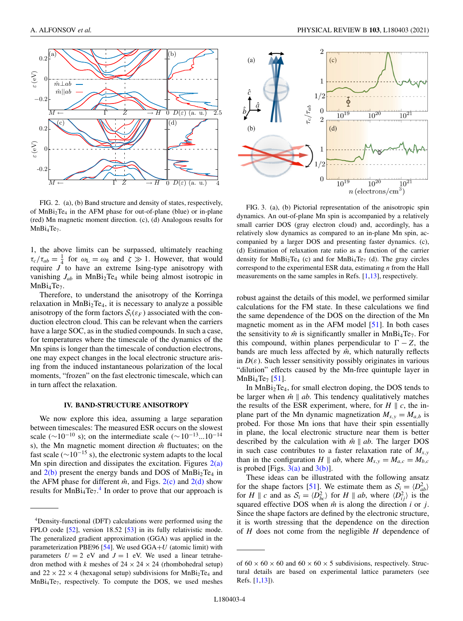<span id="page-4-0"></span>

FIG. 2. (a), (b) Band structure and density of states, respectively, of MnBi2Te4 in the AFM phase for out-of-plane (blue) or in-plane (red) Mn magnetic moment direction. (c), (d) Analogous results for  $MnBi<sub>4</sub>Te<sub>7</sub>$ .

1, the above limits can be surpassed, ultimately reaching  $\tau_c/\tau_{ab} = \frac{1}{4}$  for  $\omega_L = \omega_{fl}$  and  $\zeta \gg 1$ . However, that would require *J* to have an extreme Ising-type anisotropy with vanishing  $J_{ab}$  in MnBi<sub>2</sub>Te<sub>4</sub> while being almost isotropic in MnBi<sub>4</sub>Te<sub>7</sub>.

Therefore, to understand the anisotropy of the Korringa relaxation in  $MnBi<sub>2</sub>Te<sub>4</sub>$ , it is necessary to analyze a possible anisotropy of the form factors  $S_i(\varepsilon_F)$  associated with the conduction electron cloud. This can be relevant when the carriers have a large SOC, as in the studied compounds. In such a case, for temperatures where the timescale of the dynamics of the Mn spins is longer than the timescale of conduction electrons, one may expect changes in the local electronic structure arising from the induced instantaneous polarization of the local moments, "frozen" on the fast electronic timescale, which can in turn affect the relaxation.

#### **IV. BAND-STRUCTURE ANISOTROPY**

We now explore this idea, assuming a large separation between timescales: The measured ESR occurs on the slowest scale ( $\sim$ 10<sup>-10</sup> s); on the intermediate scale ( $\sim$ 10<sup>-13</sup>...10<sup>-14</sup> s), the Mn magnetic moment direction  $\hat{m}$  fluctuates; on the fast scale ( $\sim$ 10<sup> $-15$ </sup> s), the electronic system adapts to the local Mn spin direction and dissipates the excitation. Figures  $2(a)$ and  $2(b)$  present the energy bands and DOS of MnBi<sub>2</sub>Te<sub>4</sub> in the AFM phase for different  $\hat{m}$ , and Figs. 2(c) and 2(d) show results for  $MnBi_4Te_7$ .<sup>4</sup> In order to prove that our approach is



FIG. 3. (a), (b) Pictorial representation of the anisotropic spin dynamics. An out-of-plane Mn spin is accompanied by a relatively small carrier DOS (gray electron cloud) and, accordingly, has a relatively slow dynamics as compared to an in-plane Mn spin, accompanied by a larger DOS and presenting faster dynamics. (c), (d) Estimation of relaxation rate ratio as a function of the carrier density for  $MnBi<sub>2</sub>Te<sub>4</sub>$  (c) and for  $MnBi<sub>4</sub>Te<sub>7</sub>$  (d). The gray circles correspond to the experimental ESR data, estimating *n* from the Hall measurements on the same samples in Refs. [\[1](#page-5-0)[,13\]](#page-6-0), respectively.

robust against the details of this model, we performed similar calculations for the FM state. In these calculations we find the same dependence of the DOS on the direction of the Mn magnetic moment as in the AFM model [\[51\]](#page-7-0). In both cases the sensitivity to  $\hat{m}$  is significantly smaller in MnBi<sub>4</sub>Te<sub>7</sub>. For this compound, within planes perpendicular to  $\Gamma - Z$ , the bands are much less affected by  $\hat{m}$ , which naturally reflects in  $D(\varepsilon)$ . Such lesser sensitivity possibly originates in various "dilution" effects caused by the Mn-free quintuple layer in  $MnBi_4Te_7 [51]$  $MnBi_4Te_7 [51]$ .

In MnBi2Te4, for small electron doping, the DOS tends to be larger when  $\hat{m} \parallel ab$ . This tendency qualitatively matches the results of the ESR experiment, where, for  $H \parallel c$ , the inplane part of the Mn dynamic magnetization  $M_{x,y} = M_{a,b}$  is probed. For those Mn ions that have their spin essentially in plane, the local electronic structure near them is better described by the calculation with  $\hat{m} \parallel ab$ . The larger DOS in such case contributes to a faster relaxation rate of  $M_{x,y}$ than in the configuration *H*  $\parallel$  *ab*, where  $M_{x,y} = M_{a,c} = M_{b,c}$ is probed [Figs.  $3(a)$  and  $3(b)$ ].

These ideas can be illustrated with the following ansatz for the shape factors [\[51\]](#page-7-0). We estimate them as  $S_i = \langle D_{ab}^2 \rangle$ for *H*  $\parallel$  *c* and as  $S_i = \langle D_{bc}^2 \rangle$  for *H*  $\parallel$  *ab*, where  $\langle D_{ij}^2 \rangle$  is the squared effective DOS when  $\hat{m}$  is along the direction *i* or *j*. Since the shape factors are defined by the electronic structure, it is worth stressing that the dependence on the direction of *H* does not come from the negligible *H* dependence of

<sup>4</sup>Density-functional (DFT) calculations were performed using the FPLO code [\[52\]](#page-7-0), version 18.52 [\[53\]](#page-7-0) in its fully relativistic mode. The generalized gradient approximation (GGA) was applied in the parameterization PBE96 [\[54\]](#page-7-0). We used GGA+*U* (atomic limit) with parameters  $U = 2$  eV and  $J = 1$  eV. We used a linear tetrahedron method with *k* meshes of  $24 \times 24 \times 24$  (rhombohedral setup) and  $22 \times 22 \times 4$  (hexagonal setup) subdivisions for MnBi<sub>2</sub>Te<sub>4</sub> and  $MnBi<sub>4</sub>Te<sub>7</sub>$ , respectively. To compute the DOS, we used meshes

of  $60 \times 60 \times 60$  and  $60 \times 60 \times 5$  subdivisions, respectively. Structural details are based on experimental lattice parameters (see Refs. [\[1](#page-5-0)[,13\]](#page-6-0)).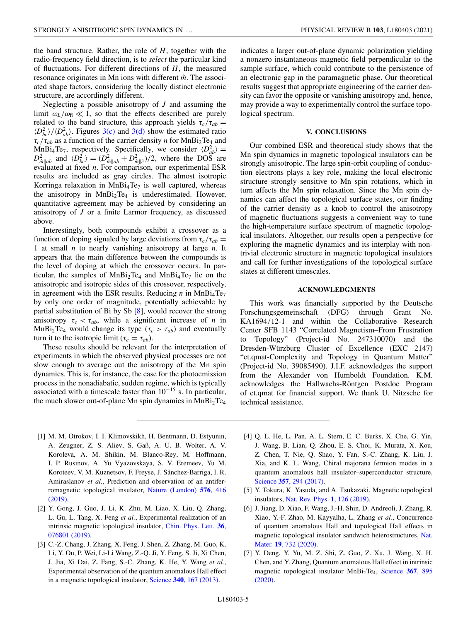<span id="page-5-0"></span>the band structure. Rather, the role of *H*, together with the radio-frequency field direction, is to *select* the particular kind of fluctuations. For different directions of *H*, the measured resonance originates in Mn ions with different  $\hat{m}$ . The associated shape factors, considering the locally distinct electronic structure, are accordingly different.

Neglecting a possible anisotropy of *J* and assuming the limit  $\omega_L/\omega_{\rm fl} \ll 1$ , so that the effects described are purely related to the band structure, this approach yields  $\tau_c/\tau_{ab}$  =  $\langle D_{bc}^2 \rangle / \langle D_{ab}^2 \rangle$ . Figures [3\(c\)](#page-4-0) and [3\(d\)](#page-4-0) show the estimated ratio  $\tau_c/\tau_{ab}$  as a function of the carrier density *n* for MnBi<sub>2</sub>Te<sub>4</sub> and MnBi<sub>4</sub>Te<sub>7</sub>, respectively. Specifically, we consider  $\langle D_{ab}^2 \rangle = D_{\hat{m}||ab}^2$  and  $\langle D_{bc}^2 \rangle = (D_{\hat{m}||ab}^2 + D_{\hat{m}||c}^2)/2$ , where the DOS are evaluated at fixed *n*. For comparison, our experimental ESR results are included as gray circles. The almost isotropic Korringa relaxation in MnBi<sub>4</sub>Te<sub>7</sub> is well captured, whereas the anisotropy in  $MnBi<sub>2</sub>Te<sub>4</sub>$  is underestimated. However, quantitative agreement may be achieved by considering an anisotropy of *J* or a finite Larmor frequency, as discussed above.

Interestingly, both compounds exhibit a crossover as a function of doping signaled by large deviations from  $\tau_c/\tau_{ab}$  = 1 at small *n* to nearly vanishing anisotropy at large *n*. It appears that the main difference between the compounds is the level of doping at which the crossover occurs. In particular, the samples of  $MnBi<sub>2</sub>Te<sub>4</sub>$  and  $MnBi<sub>4</sub>Te<sub>7</sub>$  lie on the anisotropic and isotropic sides of this crossover, respectively, in agreement with the ESR results. Reducing  $n$  in MnBi<sub>4</sub>Te<sub>7</sub> by only one order of magnitude, potentially achievable by partial substitution of Bi by Sb [\[8\]](#page-6-0), would recover the strong anisotropy  $\tau_c < \tau_{ab}$ , while a significant increase of *n* in MnBi<sub>2</sub>Te<sub>4</sub> would change its type ( $\tau_c > \tau_{ab}$ ) and eventually turn it to the isotropic limit ( $\tau_c = \tau_{ab}$ ).

These results should be relevant for the interpretation of experiments in which the observed physical processes are not slow enough to average out the anisotropy of the Mn spin dynamics. This is, for instance, the case for the photoemission process in the nonadiabatic, sudden regime, which is typically associated with a timescale faster than  $10^{-15}$  s. In particular, the much slower out-of-plane Mn spin dynamics in  $MnBi<sub>2</sub>Te<sub>4</sub>$ 

indicates a larger out-of-plane dynamic polarization yielding a nonzero instantaneous magnetic field perpendicular to the sample surface, which could contribute to the persistence of an electronic gap in the paramagnetic phase. Our theoretical results suggest that appropriate engineering of the carrier density can favor the opposite or vanishing anisotropy and, hence, may provide a way to experimentally control the surface topological spectrum.

#### **V. CONCLUSIONS**

Our combined ESR and theoretical study shows that the Mn spin dynamics in magnetic topological insulators can be strongly anisotropic. The large spin-orbit coupling of conduction electrons plays a key role, making the local electronic structure strongly sensitive to Mn spin rotations, which in turn affects the Mn spin relaxation. Since the Mn spin dynamics can affect the topological surface states, our finding of the carrier density as a knob to control the anisotropy of magnetic fluctuations suggests a convenient way to tune the high-temperature surface spectrum of magnetic topological insulators. Altogether, our results open a perspective for exploring the magnetic dynamics and its interplay with nontrivial electronic structure in magnetic topological insulators and call for further investigations of the topological surface states at different timescales.

#### **ACKNOWLEDGMENTS**

This work was financially supported by the Deutsche Forschungsgemeinschaft (DFG) through Grant No. KA1694/12-1 and within the Collaborative Research Center SFB 1143 "Correlated Magnetism–From Frustration to Topology" (Project-id No. 247310070) and the Dresden-Würzburg Cluster of Excellence (EXC 2147) "ct.qmat-Complexity and Topology in Quantum Matter" (Project-id No. 39085490). J.I.F. acknowledges the support from the Alexander von Humboldt Foundation. K.M. acknowledges the Hallwachs-Röntgen Postdoc Program of ct.qmat for financial support. We thank U. Nitzsche for technical assistance.

- [1] M. M. Otrokov, I. I. Klimovskikh, H. Bentmann, D. Estyunin, A. Zeugner, Z. S. Aliev, S. Gaß, A. U. B. Wolter, A. V. Koroleva, A. M. Shikin, M. Blanco-Rey, M. Hoffmann, I. P. Rusinov, A. Yu Vyazovskaya, S. V. Eremeev, Yu M. Koroteev, V. M. Kuznetsov, F. Freyse, J. Sánchez-Barriga, I. R. Amiraslanov *et al.*, Prediction and observation of an antifer[romagnetic topological insulator,](https://doi.org/10.1038/s41586-019-1840-9) Nature (London) **576**, 416 (2019).
- [2] Y. Gong, J. Guo, J. Li, K. Zhu, M. Liao, X. Liu, Q. Zhang, L. Gu, L. Tang, X. Feng *et al.*, Experimental realization of an [intrinsic magnetic topological insulator,](https://doi.org/10.1088/0256-307X/36/7/076801) Chin. Phys. Lett. **36**, 076801 (2019).
- [3] C.-Z. Chang, J. Zhang, X. Feng, J. Shen, Z. Zhang, M. Guo, K. Li, Y. Ou, P. Wei, Li-Li Wang, Z.-Q. Ji, Y. Feng, S. Ji, Xi Chen, J. Jia, Xi Dai, Z. Fang, S.-C. Zhang, K. He, Y. Wang *et al.*, Experimental observation of the quantum anomalous Hall effect in a magnetic topological insulator, Science **340**[, 167 \(2013\).](https://doi.org/10.1126/science.1234414)
- [4] Q. L. He, L. Pan, A. L. Stern, E. C. Burks, X. Che, G. Yin, J. Wang, B. Lian, Q. Zhou, E. S. Choi, K. Murata, X. Kou, Z. Chen, T. Nie, Q. Shao, Y. Fan, S.-C. Zhang, K. Liu, J. Xia, and K. L. Wang, Chiral majorana fermion modes in a quantum anomalous hall insulator–superconductor structure, Science **357**[, 294 \(2017\).](https://doi.org/10.1126/science.aag2792)
- [5] Y. Tokura, K. Yasuda, and A. Tsukazaki, Magnetic topological insulators, [Nat. Rev. Phys.](https://doi.org/10.1038/s42254-018-0011-5) **1**, 126 (2019).
- [6] J. Jiang, D. Xiao, F. Wang, J.-H. Shin, D. Andreoli, J. Zhang, R. Xiao, Y.-F. Zhao, M. Kayyalha, L. Zhang *et al.*, Concurrence of quantum anomalous Hall and topological Hall effects in [magnetic topological insulator sandwich heterostructures,](https://doi.org/10.1038/s41563-020-0605-z) Nat. Mater. **19**, 732 (2020).
- [7] Y. Deng, Y. Yu, M. Z. Shi, Z. Guo, Z. Xu, J. Wang, X. H. Chen, and Y. Zhang, Quantum anomalous Hall effect in intrinsic magnetic topological insulator MnBi<sub>2</sub>Te<sub>4</sub>, Science 367, 895 (2020).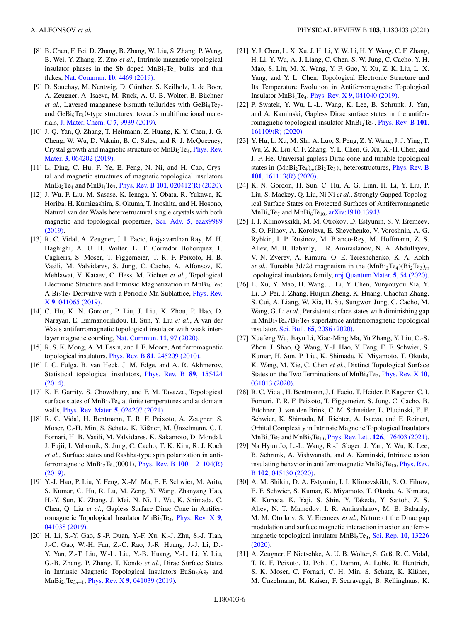- <span id="page-6-0"></span>[8] B. Chen, F. Fei, D. Zhang, B. Zhang, W. Liu, S. Zhang, P. Wang, B. Wei, Y. Zhang, Z. Zuo *et al.*, Intrinsic magnetic topological insulator phases in the Sb doped MnBi<sub>2</sub>Te<sub>4</sub> bulks and thin flakes, [Nat. Commun.](https://doi.org/10.1038/s41467-019-12485-y) **10**, 4469 (2019).
- [9] D. Souchay, M. Nentwig, D. Günther, S. Keilholz, J. de Boor, A. Zeugner, A. Isaeva, M. Ruck, A. U. B. Wolter, B. Büchner *et al.*, Layered manganese bismuth tellurides with GeBi<sub>4</sub>Te<sub>7</sub>and  $GeBi<sub>6</sub>Te<sub>1</sub>0$ -type structures: towards multifunctional materials, [J. Mater. Chem. C](https://doi.org/10.1039/C9TC00979E) **7**, 9939 (2019).
- [10] J.-Q. Yan, Q. Zhang, T. Heitmann, Z. Huang, K. Y. Chen, J.-G. Cheng, W. Wu, D. Vaknin, B. C. Sales, and R. J. McQueeney, Crystal growth and magnetic structure of MnBi<sub>2</sub>Te<sub>4</sub>, Phys. Rev. Mater. **3**, 064202 (2019).
- [11] L. Ding, C. Hu, F. Ye, E. Feng, N. Ni, and H. Cao, Crystal and magnetic structures of magnetic topological insulators MnBi2Te4 and MnBi4Te7, Phys. Rev. B **101**[, 020412\(R\) \(2020\).](https://doi.org/10.1103/PhysRevB.101.020412)
- [12] J. Wu, F. Liu, M. Sasase, K. Ienaga, Y. Obata, R. Yukawa, K. Horiba, H. Kumigashira, S. Okuma, T. Inoshita, and H. Hosono, Natural van der Waals heterostructural single crystals with both [magnetic and topological properties,](https://doi.org/10.1126/sciadv.aax9989) Sci. Adv. **5**, eaax9989 (2019).
- [13] R. C. Vidal, A. Zeugner, J. I. Facio, Rajyavardhan Ray, M. H. Haghighi, A. U. B. Wolter, L. T. Corredor Bohorquez, F. Caglieris, S. Moser, T. Figgemeier, T. R. F. Peixoto, H. B. Vasili, M. Valvidares, S. Jung, C. Cacho, A. Alfonsov, K. Mehlawat, V. Kataev, C. Hess, M. Richter *et al.*, Topological Electronic Structure and Intrinsic Magnetization in MnBi<sub>4</sub>Te<sub>7</sub>: A Bi<sub>2</sub>Te<sub>3</sub> [Derivative with a Periodic Mn Sublattice,](https://doi.org/10.1103/PhysRevX.9.041065) Phys. Rev. X **9**, 041065 (2019).
- [14] C. Hu, K. N. Gordon, P. Liu, J. Liu, X. Zhou, P. Hao, D. Narayan, E. Emmanouilidou, H. Sun, Y. Liu *et al.*, A van der Waals antiferromagnetic topological insulator with weak interlayer magnetic coupling, [Nat. Commun.](https://doi.org/10.1038/s41467-019-13814-x) **11**, 97 (2020).
- [15] R. S. K. Mong, A. M. Essin, and J. E. Moore, Antiferromagnetic topological insulators, Phys. Rev. B **81**[, 245209 \(2010\).](https://doi.org/10.1103/PhysRevB.81.245209)
- [16] I. C. Fulga, B. van Heck, J. M. Edge, and A. R. Akhmerov, [Statistical topological insulators,](https://doi.org/10.1103/PhysRevB.89.155424) Phys. Rev. B **89**, 155424 (2014).
- [17] K. F. Garrity, S. Chowdhury, and F. M. Tavazza, Topological surface states of  $MnBi<sub>2</sub>Te<sub>4</sub>$  at finite temperatures and at domain walls, [Phys. Rev. Mater.](https://doi.org/10.1103/PhysRevMaterials.5.024207) **5**, 024207 (2021).
- [18] R. C. Vidal, H. Bentmann, T. R. F. Peixoto, A. Zeugner, S. Moser, C.-H. Min, S. Schatz, K. Kißner, M. Ünzelmann, C. I. Fornari, H. B. Vasili, M. Valvidares, K. Sakamoto, D. Mondal, J. Fujii, I. Vobornik, S. Jung, C. Cacho, T. K. Kim, R. J. Koch *et al.*, Surface states and Rashba-type spin polarization in anti[ferromagnetic MnBi2Te4\(0001\),](https://doi.org/10.1103/PhysRevB.100.121104) Phys. Rev. B **100**, 121104(R) (2019).
- [19] Y.-J. Hao, P. Liu, Y. Feng, X.-M. Ma, E. F. Schwier, M. Arita, S. Kumar, C. Hu, R. Lu, M. Zeng, Y. Wang, Zhanyang Hao, H.-Y. Sun, K. Zhang, J. Mei, N. Ni, L. Wu, K. Shimada, C. Chen, Q. Liu *et al.*, Gapless Surface Dirac Cone in Antiferromagnetic Topological Insulator MnBi<sub>2</sub>Te<sub>4</sub>, Phys. Rev. X 9, 041038 (2019).
- [20] H. Li, S.-Y. Gao, S.-F. Duan, Y.-F. Xu, K.-J. Zhu, S.-J. Tian, J.-C. Gao, W.-H. Fan, Z.-C. Rao, J.-R. Huang, J.-J. Li, D.- Y. Yan, Z.-T. Liu, W.-L. Liu, Y.-B. Huang, Y.-L. Li, Y. Liu, G.-B. Zhang, P. Zhang, T. Kondo *et al.*, Dirac Surface States in Intrinsic Magnetic Topological Insulators  $EuSn<sub>2</sub>As<sub>2</sub>$  and MnBi2*n*Te3*<sup>n</sup>*+1, Phys. Rev. X **9**[, 041039 \(2019\).](https://doi.org/10.1103/PhysRevX.9.041039)
- [21] Y. J. Chen, L. X. Xu, J. H. Li, Y. W. Li, H. Y. Wang, C. F. Zhang, H. Li, Y. Wu, A. J. Liang, C. Chen, S. W. Jung, C. Cacho, Y. H. Mao, S. Liu, M. X. Wang, Y. F. Guo, Y. Xu, Z. K. Liu, L. X. Yang, and Y. L. Chen, Topological Electronic Structure and Its Temperature Evolution in Antiferromagnetic Topological Insulator MnBi2Te4, Phys. Rev. X **9**[, 041040 \(2019\).](https://doi.org/10.1103/PhysRevX.9.041040)
- [22] P. Swatek, Y. Wu, L.-L. Wang, K. Lee, B. Schrunk, J. Yan, and A. Kaminski, Gapless Dirac surface states in the antifer[romagnetic topological insulator MnBi2Te4,](https://doi.org/10.1103/PhysRevB.101.161109) Phys. Rev. B **101**, 161109(R) (2020).
- [23] Y. Hu, L. Xu, M. Shi, A. Luo, S. Peng, Z. Y. Wang, J. J. Ying, T. Wu, Z. K. Liu, C. F. Zhang, Y. L. Chen, G. Xu, X.-H. Chen, and J.-F. He, Universal gapless Dirac cone and tunable topological states in  $(MnBi_2Te_4)_m(Bi_2Te_3)_n$  heterostructures, *Phys. Rev. B* **101**, 161113(R) (2020).
- [24] K. N. Gordon, H. Sun, C. Hu, A. G. Linn, H. Li, Y. Liu, P. Liu, S. Mackey, Q. Liu, Ni Ni *et al.*, Strongly Gapped Topological Surface States on Protected Surfaces of Antiferromagnetic  $MnBi_4Te_7$  and  $MnBi_6Te_{10}$ , [arXiv:1910.13943.](http://arxiv.org/abs/arXiv:1910.13943)
- [25] I. I. Klimovskikh, M. M. Otrokov, D. Estyunin, S. V. Eremeev, S. O. Filnov, A. Koroleva, E. Shevchenko, V. Voroshnin, A. G. Rybkin, I. P. Rusinov, M. Blanco-Rey, M. Hoffmann, Z. S. Aliev, M. B. Babanly, I. R. Amiraslanov, N. A. Abdullayev, V. N. Zverev, A. Kimura, O. E. Tereshchenko, K. A. Kokh *et al.*, Tunable 3d/2d magnetism in the  $(MnBi<sub>2</sub>Te<sub>4</sub>)(Bi<sub>2</sub>Te<sub>3</sub>)<sub>m</sub>$ topological insulators family, [npj Quantum Mater.](https://doi.org/10.1038/s41535-020-00255-9) **5**, 54 (2020).
- [26] L. Xu, Y. Mao, H. Wang, J. Li, Y. Chen, Yunyouyou Xia, Y. Li, D. Pei, J. Zhang, Huijun Zheng, K. Huang, Chaofan Zhang, S. Cui, A. Liang, W. Xia, H. Su, Sungwon Jung, C. Cacho, M. Wang, G. Li *et al.*, Persistent surface states with diminishing gap in  $MnBi<sub>2</sub>Te<sub>4</sub>/Bi<sub>2</sub>Te<sub>3</sub>$  superlattice antiferromagnetic topological insulator, Sci. Bull. **65**[, 2086 \(2020\).](https://doi.org/10.1016/j.scib.2020.07.032)
- [27] Xuefeng Wu, Jiayu Li, Xiao-Ming Ma, Yu Zhang, Y. Liu, C.-S. Zhou, J. Shao, Q. Wang, Y.-J. Hao, Y. Feng, E. F. Schwier, S. Kumar, H. Sun, P. Liu, K. Shimada, K. Miyamoto, T. Okuda, K. Wang, M. Xie, C. Chen *et al.*, Distinct Topological Surface States on the Two Terminations of  $MnBi<sub>4</sub>Te<sub>7</sub>$ , *Phys. Rev. X* 10, 031013 (2020).
- [28] R. C. Vidal, H. Bentmann, J. I. Facio, T. Heider, P. Kagerer, C. I. Fornari, T. R. F. Peixoto, T. Figgemeier, S. Jung, C. Cacho, B. Büchner, J. van den Brink, C. M. Schneider, L. Plucinski, E. F. Schwier, K. Shimada, M. Richter, A. Isaeva, and F. Reinert, Orbital Complexity in Intrinsic Magnetic Topological Insulators MnBi<sub>4</sub>Te<sub>7</sub> and MnBi<sub>6</sub>Te<sub>10</sub>, *Phys. Rev. Lett.* **126**[, 176403 \(2021\).](https://doi.org/10.1103/PhysRevLett.126.176403)
- [29] Na Hyun Jo, L.-L. Wang, R.-J. Slager, J. Yan, Y. Wu, K. Lee, B. Schrunk, A. Vishwanath, and A. Kaminski, Intrinsic axion insulating behavior in antiferromagnetic  $MnBi<sub>6</sub>Te<sub>10</sub>$ , Phys. Rev. B **102**, 045130 (2020).
- [30] A. M. Shikin, D. A. Estyunin, I. I. Klimovskikh, S. O. Filnov, E. F. Schwier, S. Kumar, K. Miyamoto, T. Okuda, A. Kimura, K. Kuroda, K. Yaji, S. Shin, Y. Takeda, Y. Saitoh, Z. S. Aliev, N. T. Mamedov, I. R. Amiraslanov, M. B. Babanly, M. M. Otrokov, S. V. Eremeev *et al.*, Nature of the Dirac gap modulation and surface magnetic interaction in axion antiferro[magnetic topological insulator MnBi2Te4,](https://doi.org/10.1038/s41598-020-70089-9) Sci. Rep. **10**, 13226 (2020).
- [31] A. Zeugner, F. Nietschke, A. U. B. Wolter, S. Gaß, R. C. Vidal, T. R. F. Peixoto, D. Pohl, C. Damm, A. Lubk, R. Hentrich, S. K. Moser, C. Fornari, C. H. Min, S. Schatz, K. Kißner, M. Ünzelmann, M. Kaiser, F. Scaravaggi, B. Rellinghaus, K.